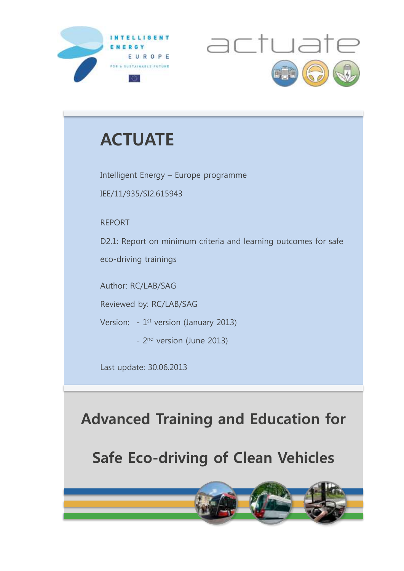



# **ACTUATE**

Intelligent Energy – Europe programme IEE/11/935/SI2.615943

REPORT

D2.1: Report on minimum criteria and learning outcomes for safe eco-driving trainings

Author: RC/LAB/SAG

Reviewed by: RC/LAB/SAG

Version:  $-1$ <sup>st</sup> version (January 2013)

- 2<sup>nd</sup> version (June 2013)

Last update: 30.06.2013

# **Advanced Training and Education for**

**Safe Eco-driving of Clean Vehicles**

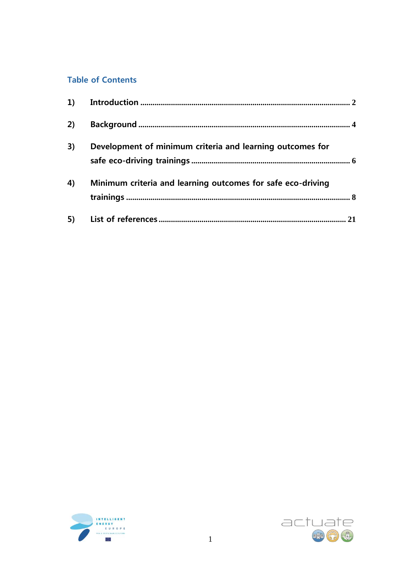## **Table of Contents**

| 2) |                                                             |  |
|----|-------------------------------------------------------------|--|
| 3) | Development of minimum criteria and learning outcomes for   |  |
| 4) | Minimum criteria and learning outcomes for safe eco-driving |  |
|    |                                                             |  |



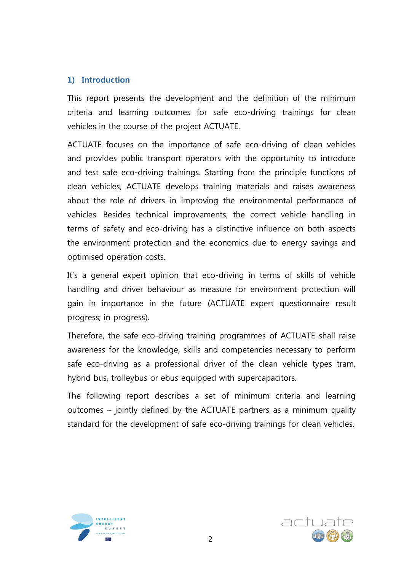## <span id="page-2-0"></span>**1) Introduction**

This report presents the development and the definition of the minimum criteria and learning outcomes for safe eco-driving trainings for clean vehicles in the course of the project ACTUATE.

ACTUATE focuses on the importance of safe eco-driving of clean vehicles and provides public transport operators with the opportunity to introduce and test safe eco-driving trainings. Starting from the principle functions of clean vehicles, ACTUATE develops training materials and raises awareness about the role of drivers in improving the environmental performance of vehicles. Besides technical improvements, the correct vehicle handling in terms of safety and eco-driving has a distinctive influence on both aspects the environment protection and the economics due to energy savings and optimised operation costs.

It's a general expert opinion that eco-driving in terms of skills of vehicle handling and driver behaviour as measure for environment protection will gain in importance in the future (ACTUATE expert questionnaire result progress; in progress).

Therefore, the safe eco-driving training programmes of ACTUATE shall raise awareness for the knowledge, skills and competencies necessary to perform safe eco-driving as a professional driver of the clean vehicle types tram, hybrid bus, trolleybus or ebus equipped with supercapacitors.

The following report describes a set of minimum criteria and learning outcomes – jointly defined by the ACTUATE partners as a minimum quality standard for the development of safe eco-driving trainings for clean vehicles.



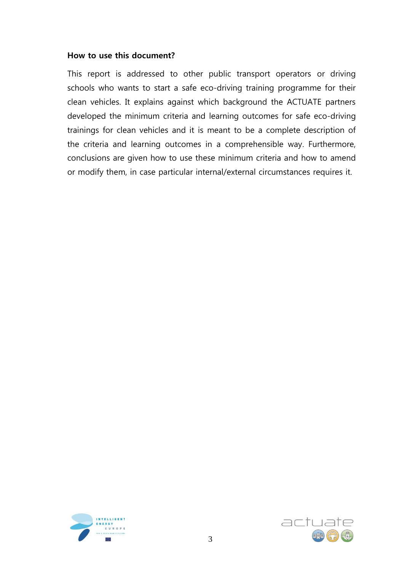### **How to use this document?**

This report is addressed to other public transport operators or driving schools who wants to start a safe eco-driving training programme for their clean vehicles. It explains against which background the ACTUATE partners developed the minimum criteria and learning outcomes for safe eco-driving trainings for clean vehicles and it is meant to be a complete description of the criteria and learning outcomes in a comprehensible way. Furthermore, conclusions are given how to use these minimum criteria and how to amend or modify them, in case particular internal/external circumstances requires it.



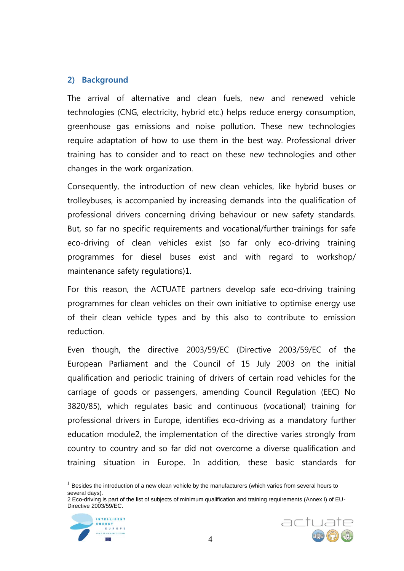## <span id="page-4-0"></span>**2) Background**

The arrival of alternative and clean fuels, new and renewed vehicle technologies (CNG, electricity, hybrid etc.) helps reduce energy consumption, greenhouse gas emissions and noise pollution. These new technologies require adaptation of how to use them in the best way. Professional driver training has to consider and to react on these new technologies and other changes in the work organization.

Consequently, the introduction of new clean vehicles, like hybrid buses or trolleybuses, is accompanied by increasing demands into the qualification of professional drivers concerning driving behaviour or new safety standards. But, so far no specific requirements and vocational/further trainings for safe eco-driving of clean vehicles exist (so far only eco-driving training programmes for diesel buses exist and with regard to workshop/ maintenance safety regulations)1.

For this reason, the ACTUATE partners develop safe eco-driving training programmes for clean vehicles on their own initiative to optimise energy use of their clean vehicle types and by this also to contribute to emission reduction.

Even though, the directive 2003/59/EC (Directive 2003/59/EC of the European Parliament and the Council of 15 July 2003 on the initial qualification and periodic training of drivers of certain road vehicles for the carriage of goods or passengers, amending Council Regulation (EEC) No 3820/85), which regulates basic and continuous (vocational) training for professional drivers in Europe, identifies eco-driving as a mandatory further education module2, the implementation of the directive varies strongly from country to country and so far did not overcome a diverse qualification and training situation in Europe. In addition, these basic standards for

<sup>2</sup> Eco-driving is part of the list of subjects of minimum qualification and training requirements (Annex I) of EU-Directive 2003/59/EC.



 $\overline{a}$ 



 $1$  Besides the introduction of a new clean vehicle by the manufacturers (which varies from several hours to several days).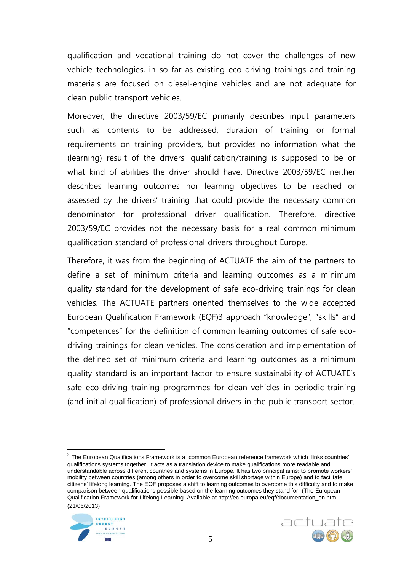qualification and vocational training do not cover the challenges of new vehicle technologies, in so far as existing eco-driving trainings and training materials are focused on diesel-engine vehicles and are not adequate for clean public transport vehicles.

Moreover, the directive 2003/59/EC primarily describes input parameters such as contents to be addressed, duration of training or formal requirements on training providers, but provides no information what the (learning) result of the drivers' qualification/training is supposed to be or what kind of abilities the driver should have. Directive 2003/59/EC neither describes learning outcomes nor learning objectives to be reached or assessed by the drivers' training that could provide the necessary common denominator for professional driver qualification. Therefore, directive 2003/59/EC provides not the necessary basis for a real common minimum qualification standard of professional drivers throughout Europe.

Therefore, it was from the beginning of ACTUATE the aim of the partners to define a set of minimum criteria and learning outcomes as a minimum quality standard for the development of safe eco-driving trainings for clean vehicles. The ACTUATE partners oriented themselves to the wide accepted European Qualification Framework (EQF)3 approach "knowledge", "skills" and "competences" for the definition of common learning outcomes of safe ecodriving trainings for clean vehicles. The consideration and implementation of the defined set of minimum criteria and learning outcomes as a minimum quality standard is an important factor to ensure sustainability of ACTUATE's safe eco-driving training programmes for clean vehicles in periodic training (and initial qualification) of professional drivers in the public transport sector.

<sup>3</sup> The European Qualifications Framework is a common European reference framework which links countries' qualifications systems together. It acts as a translation device to make qualifications more readable and understandable across different countries and systems in Europe. It has two principal aims: to promote workers' mobility between countries (among others in order to overcome skill shortage within Europe) and to facilitate citizens' lifelong learning. The EQF proposes a shift to learning outcomes to overcome this difficulty and to make comparison between qualifications possible based on the learning outcomes they stand for. (The European Qualification Framework for Lifelong Learning. Available at http://ec.europa.eu/eqf/documentation\_en.htm (21/06/2013)



 $\overline{a}$ 

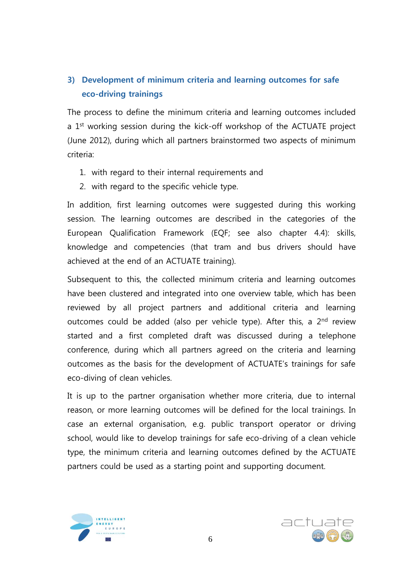## <span id="page-6-0"></span>**3) Development of minimum criteria and learning outcomes for safe eco-driving trainings**

The process to define the minimum criteria and learning outcomes included a 1<sup>st</sup> working session during the kick-off workshop of the ACTUATE project (June 2012), during which all partners brainstormed two aspects of minimum criteria:

- 1. with regard to their internal requirements and
- 2. with regard to the specific vehicle type.

In addition, first learning outcomes were suggested during this working session. The learning outcomes are described in the categories of the European Qualification Framework (EQF; see also chapter 4.4): skills, knowledge and competencies (that tram and bus drivers should have achieved at the end of an ACTUATE training).

Subsequent to this, the collected minimum criteria and learning outcomes have been clustered and integrated into one overview table, which has been reviewed by all project partners and additional criteria and learning outcomes could be added (also per vehicle type). After this, a 2<sup>nd</sup> review started and a first completed draft was discussed during a telephone conference, during which all partners agreed on the criteria and learning outcomes as the basis for the development of ACTUATE's trainings for safe eco-diving of clean vehicles.

It is up to the partner organisation whether more criteria, due to internal reason, or more learning outcomes will be defined for the local trainings. In case an external organisation, e.g. public transport operator or driving school, would like to develop trainings for safe eco-driving of a clean vehicle type, the minimum criteria and learning outcomes defined by the ACTUATE partners could be used as a starting point and supporting document.



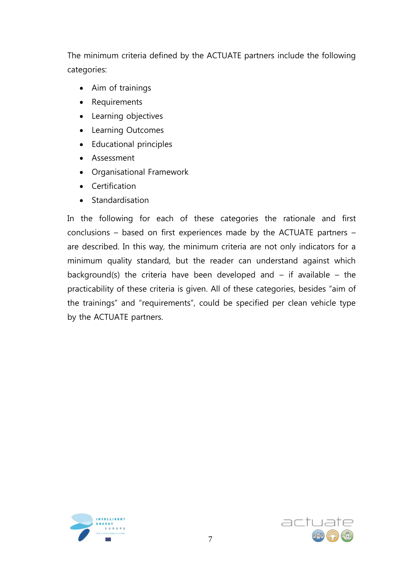The minimum criteria defined by the ACTUATE partners include the following categories:

- Aim of trainings
- Requirements
- Learning objectives
- Learning Outcomes
- Educational principles
- Assessment
- Organisational Framework
- Certification
- Standardisation

In the following for each of these categories the rationale and first conclusions – based on first experiences made by the ACTUATE partners – are described. In this way, the minimum criteria are not only indicators for a minimum quality standard, but the reader can understand against which background(s) the criteria have been developed and  $-$  if available  $-$  the practicability of these criteria is given. All of these categories, besides "aim of the trainings" and "requirements", could be specified per clean vehicle type by the ACTUATE partners.



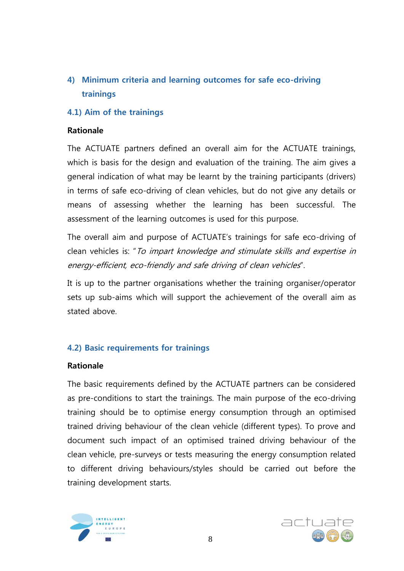<span id="page-8-0"></span>**4) Minimum criteria and learning outcomes for safe eco-driving trainings**

### **4.1) Aim of the trainings**

#### **Rationale**

The ACTUATE partners defined an overall aim for the ACTUATE trainings, which is basis for the design and evaluation of the training. The aim gives a general indication of what may be learnt by the training participants (drivers) in terms of safe eco-driving of clean vehicles, but do not give any details or means of assessing whether the learning has been successful. The assessment of the learning outcomes is used for this purpose.

The overall aim and purpose of ACTUATE's trainings for safe eco-driving of clean vehicles is: "To impart knowledge and stimulate skills and expertise in energy-efficient, eco-friendly and safe driving of clean vehicles".

It is up to the partner organisations whether the training organiser/operator sets up sub-aims which will support the achievement of the overall aim as stated above.

#### **4.2) Basic requirements for trainings**

#### **Rationale**

The basic requirements defined by the ACTUATE partners can be considered as pre-conditions to start the trainings. The main purpose of the eco-driving training should be to optimise energy consumption through an optimised trained driving behaviour of the clean vehicle (different types). To prove and document such impact of an optimised trained driving behaviour of the clean vehicle, pre-surveys or tests measuring the energy consumption related to different driving behaviours/styles should be carried out before the training development starts.



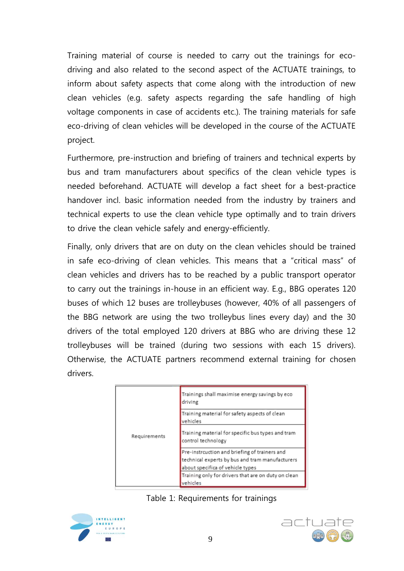Training material of course is needed to carry out the trainings for ecodriving and also related to the second aspect of the ACTUATE trainings, to inform about safety aspects that come along with the introduction of new clean vehicles (e.g. safety aspects regarding the safe handling of high voltage components in case of accidents etc.). The training materials for safe eco-driving of clean vehicles will be developed in the course of the ACTUATE project.

Furthermore, pre-instruction and briefing of trainers and technical experts by bus and tram manufacturers about specifics of the clean vehicle types is needed beforehand. ACTUATE will develop a fact sheet for a best-practice handover incl. basic information needed from the industry by trainers and technical experts to use the clean vehicle type optimally and to train drivers to drive the clean vehicle safely and energy-efficiently.

Finally, only drivers that are on duty on the clean vehicles should be trained in safe eco-driving of clean vehicles. This means that a "critical mass" of clean vehicles and drivers has to be reached by a public transport operator to carry out the trainings in-house in an efficient way. E.g., BBG operates 120 buses of which 12 buses are trolleybuses (however, 40% of all passengers of the BBG network are using the two trolleybus lines every day) and the 30 drivers of the total employed 120 drivers at BBG who are driving these 12 trolleybuses will be trained (during two sessions with each 15 drivers). Otherwise, the ACTUATE partners recommend external training for chosen drivers.

|              | Trainings shall maximise energy savings by eco<br>driving               |
|--------------|-------------------------------------------------------------------------|
|              | Training material for safety aspects of clean<br>vehicles               |
| Requirements | Training material for specific bus types and tram<br>control technology |
|              | Pre-instrcuction and briefing of trainers and                           |
|              | technical experts by bus and tram manufacturers                         |
|              | about specifica of vehicle types                                        |
|              | Training only for drivers that are on duty on clean                     |
|              | vehicles                                                                |





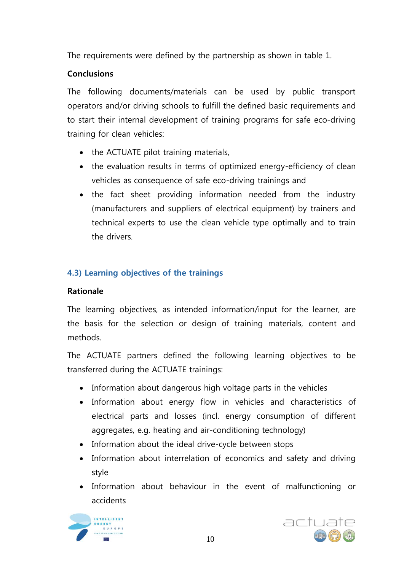The requirements were defined by the partnership as shown in table 1.

## **Conclusions**

The following documents/materials can be used by public transport operators and/or driving schools to fulfill the defined basic requirements and to start their internal development of training programs for safe eco-driving training for clean vehicles:

- the ACTUATE pilot training materials,
- the evaluation results in terms of optimized energy-efficiency of clean vehicles as consequence of safe eco-driving trainings and
- the fact sheet providing information needed from the industry (manufacturers and suppliers of electrical equipment) by trainers and technical experts to use the clean vehicle type optimally and to train the drivers.

## **4.3) Learning objectives of the trainings**

## **Rationale**

The learning objectives, as intended information/input for the learner, are the basis for the selection or design of training materials, content and methods.

The ACTUATE partners defined the following learning objectives to be transferred during the ACTUATE trainings:

- Information about dangerous high voltage parts in the vehicles
- Information about energy flow in vehicles and characteristics of electrical parts and losses (incl. energy consumption of different aggregates, e.g. heating and air-conditioning technology)
- Information about the ideal drive-cycle between stops
- Information about interrelation of economics and safety and driving style
- Information about behaviour in the event of malfunctioning or accidents



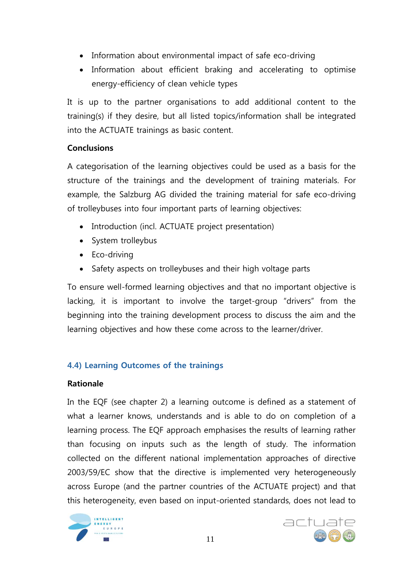- Information about environmental impact of safe eco-driving
- Information about efficient braking and accelerating to optimise energy-efficiency of clean vehicle types

It is up to the partner organisations to add additional content to the training(s) if they desire, but all listed topics/information shall be integrated into the ACTUATE trainings as basic content.

## **Conclusions**

A categorisation of the learning objectives could be used as a basis for the structure of the trainings and the development of training materials. For example, the Salzburg AG divided the training material for safe eco-driving of trolleybuses into four important parts of learning objectives:

- Introduction (incl. ACTUATE project presentation)
- System trolleybus
- Eco-driving
- Safety aspects on trolleybuses and their high voltage parts

To ensure well-formed learning objectives and that no important objective is lacking, it is important to involve the target-group "drivers" from the beginning into the training development process to discuss the aim and the learning objectives and how these come across to the learner/driver.

## **4.4) Learning Outcomes of the trainings**

## **Rationale**

In the EQF (see chapter 2) a learning outcome is defined as a statement of what a learner knows, understands and is able to do on completion of a learning process. The EQF approach emphasises the results of learning rather than focusing on inputs such as the length of study. The information collected on the different national implementation approaches of directive 2003/59/EC show that the directive is implemented very heterogeneously across Europe (and the partner countries of the ACTUATE project) and that this heterogeneity, even based on input-oriented standards, does not lead to



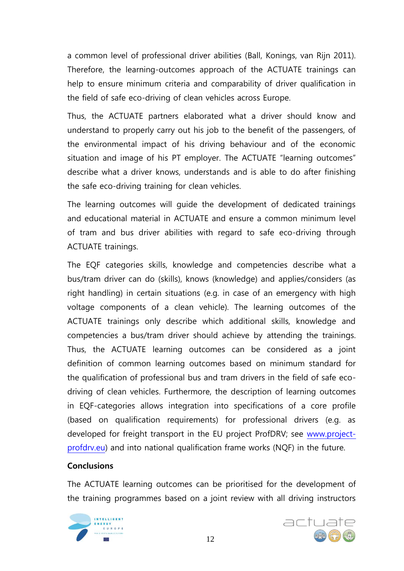a common level of professional driver abilities (Ball, Konings, van Rijn 2011). Therefore, the learning-outcomes approach of the ACTUATE trainings can help to ensure minimum criteria and comparability of driver qualification in the field of safe eco-driving of clean vehicles across Europe.

Thus, the ACTUATE partners elaborated what a driver should know and understand to properly carry out his job to the benefit of the passengers, of the environmental impact of his driving behaviour and of the economic situation and image of his PT employer. The ACTUATE "learning outcomes" describe what a driver knows, understands and is able to do after finishing the safe eco-driving training for clean vehicles.

The learning outcomes will guide the development of dedicated trainings and educational material in ACTUATE and ensure a common minimum level of tram and bus driver abilities with regard to safe eco-driving through ACTUATE trainings.

The EQF categories skills, knowledge and competencies describe what a bus/tram driver can do (skills), knows (knowledge) and applies/considers (as right handling) in certain situations (e.g. in case of an emergency with high voltage components of a clean vehicle). The learning outcomes of the ACTUATE trainings only describe which additional skills, knowledge and competencies a bus/tram driver should achieve by attending the trainings. Thus, the ACTUATE learning outcomes can be considered as a joint definition of common learning outcomes based on minimum standard for the qualification of professional bus and tram drivers in the field of safe ecodriving of clean vehicles. Furthermore, the description of learning outcomes in EQF-categories allows integration into specifications of a core profile (based on qualification requirements) for professional drivers (e.g. as developed for freight transport in the EU project ProfDRV; see [www.project](http://www.project-profdrv.eu/)[profdrv.eu\)](http://www.project-profdrv.eu/) and into national qualification frame works (NQF) in the future.

## **Conclusions**

The ACTUATE learning outcomes can be prioritised for the development of the training programmes based on a joint review with all driving instructors



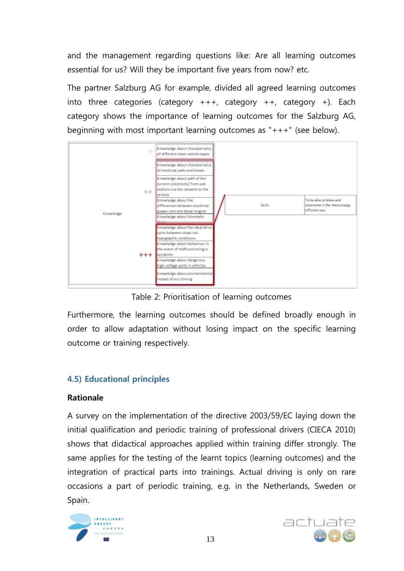and the management regarding questions like: Are all learning outcomes essential for us? Will they be important five years from now? etc.

The partner Salzburg AG for example, divided all agreed learning outcomes into three categories (category  $++$ , category  $++$ , category  $+$ ). Each category shows the importance of learning outcomes for the Salzburg AG, beginning with most important learning outcomes as "+++" (see below).



Table 2: Prioritisation of learning outcomes

Furthermore, the learning outcomes should be defined broadly enough in order to allow adaptation without losing impact on the specific learning outcome or training respectively.

## **4.5) Educational principles**

## **Rationale**

A survey on the implementation of the directive 2003/59/EC laying down the initial qualification and periodic training of professional drivers (CIECA 2010) shows that didactical approaches applied within training differ strongly. The same applies for the testing of the learnt topics (learning outcomes) and the integration of practical parts into trainings. Actual driving is only on rare occasions a part of periodic training, e.g. in the Netherlands, Sweden or Spain.



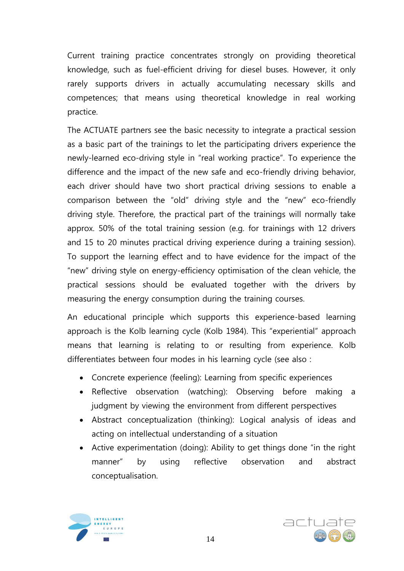Current training practice concentrates strongly on providing theoretical knowledge, such as fuel-efficient driving for diesel buses. However, it only rarely supports drivers in actually accumulating necessary skills and competences; that means using theoretical knowledge in real working practice.

The ACTUATE partners see the basic necessity to integrate a practical session as a basic part of the trainings to let the participating drivers experience the newly-learned eco-driving style in "real working practice". To experience the difference and the impact of the new safe and eco-friendly driving behavior, each driver should have two short practical driving sessions to enable a comparison between the "old" driving style and the "new" eco-friendly driving style. Therefore, the practical part of the trainings will normally take approx. 50% of the total training session (e.g. for trainings with 12 drivers and 15 to 20 minutes practical driving experience during a training session). To support the learning effect and to have evidence for the impact of the "new" driving style on energy-efficiency optimisation of the clean vehicle, the practical sessions should be evaluated together with the drivers by measuring the energy consumption during the training courses.

An educational principle which supports this experience-based learning approach is the Kolb learning cycle (Kolb 1984). This "experiential" approach means that learning is relating to or resulting from experience. Kolb differentiates between four modes in his learning cycle (see also :

- Concrete experience (feeling): Learning from specific experiences
- Reflective observation (watching): Observing before making a judgment by viewing the environment from different perspectives
- Abstract conceptualization (thinking): Logical analysis of ideas and acting on intellectual understanding of a situation
- Active experimentation (doing): Ability to get things done "in the right manner" by using reflective observation and abstract conceptualisation.



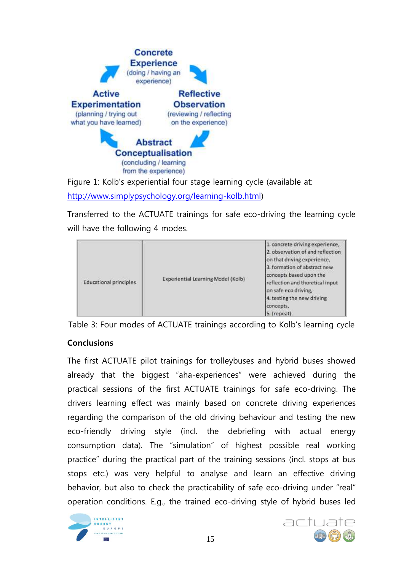

Figure 1: Kolb's experiential four stage learning cycle (available at: [http://www.simplypsychology.org/learning-kolb.html\)](http://www.simplypsychology.org/learning-kolb.html)

Transferred to the ACTUATE trainings for safe eco-driving the learning cycle will have the following 4 modes.

| <b>Educational principles</b> | Experiential Learning Model (Kolb) | 1. concrete driving experience,<br>2. observation of and reflection.<br>on that driving experience,<br>3. formation of abstract new<br>concepts based upon the<br>reflection and thoretical input<br>on safe eco driving,<br>4. testing the new driving<br>concepts.<br>5. (repeat). |
|-------------------------------|------------------------------------|--------------------------------------------------------------------------------------------------------------------------------------------------------------------------------------------------------------------------------------------------------------------------------------|
|-------------------------------|------------------------------------|--------------------------------------------------------------------------------------------------------------------------------------------------------------------------------------------------------------------------------------------------------------------------------------|

Table 3: Four modes of ACTUATE trainings according to Kolb's learning cycle

## **Conclusions**

The first ACTUATE pilot trainings for trolleybuses and hybrid buses showed already that the biggest "aha-experiences" were achieved during the practical sessions of the first ACTUATE trainings for safe eco-driving. The drivers learning effect was mainly based on concrete driving experiences regarding the comparison of the old driving behaviour and testing the new eco-friendly driving style (incl. the debriefing with actual energy consumption data). The "simulation" of highest possible real working practice" during the practical part of the training sessions (incl. stops at bus stops etc.) was very helpful to analyse and learn an effective driving behavior, but also to check the practicability of safe eco-driving under "real" operation conditions. E.g., the trained eco-driving style of hybrid buses led



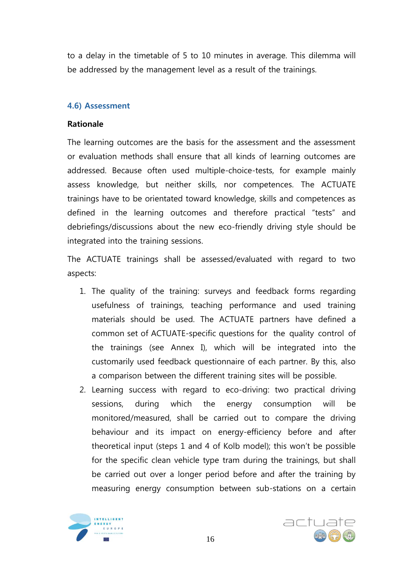to a delay in the timetable of 5 to 10 minutes in average. This dilemma will be addressed by the management level as a result of the trainings.

### **4.6) Assessment**

#### **Rationale**

The learning outcomes are the basis for the assessment and the assessment or evaluation methods shall ensure that all kinds of learning outcomes are addressed. Because often used multiple-choice-tests, for example mainly assess knowledge, but neither skills, nor competences. The ACTUATE trainings have to be orientated toward knowledge, skills and competences as defined in the learning outcomes and therefore practical "tests" and debriefings/discussions about the new eco-friendly driving style should be integrated into the training sessions.

The ACTUATE trainings shall be assessed/evaluated with regard to two aspects:

- 1. The quality of the training: surveys and feedback forms regarding usefulness of trainings, teaching performance and used training materials should be used. The ACTUATE partners have defined a common set of ACTUATE-specific questions for the quality control of the trainings (see Annex I), which will be integrated into the customarily used feedback questionnaire of each partner. By this, also a comparison between the different training sites will be possible.
- 2. Learning success with regard to eco-driving: two practical driving sessions, during which the energy consumption will be monitored/measured, shall be carried out to compare the driving behaviour and its impact on energy-efficiency before and after theoretical input (steps 1 and 4 of Kolb model); this won't be possible for the specific clean vehicle type tram during the trainings, but shall be carried out over a longer period before and after the training by measuring energy consumption between sub-stations on a certain



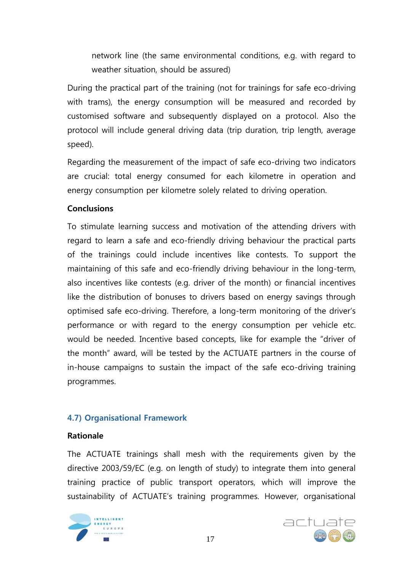network line (the same environmental conditions, e.g. with regard to weather situation, should be assured)

During the practical part of the training (not for trainings for safe eco-driving with trams), the energy consumption will be measured and recorded by customised software and subsequently displayed on a protocol. Also the protocol will include general driving data (trip duration, trip length, average speed).

Regarding the measurement of the impact of safe eco-driving two indicators are crucial: total energy consumed for each kilometre in operation and energy consumption per kilometre solely related to driving operation.

## **Conclusions**

To stimulate learning success and motivation of the attending drivers with regard to learn a safe and eco-friendly driving behaviour the practical parts of the trainings could include incentives like contests. To support the maintaining of this safe and eco-friendly driving behaviour in the long-term, also incentives like contests (e.g. driver of the month) or financial incentives like the distribution of bonuses to drivers based on energy savings through optimised safe eco-driving. Therefore, a long-term monitoring of the driver's performance or with regard to the energy consumption per vehicle etc. would be needed. Incentive based concepts, like for example the "driver of the month" award, will be tested by the ACTUATE partners in the course of in-house campaigns to sustain the impact of the safe eco-driving training programmes.

## **4.7) Organisational Framework**

## **Rationale**

The ACTUATE trainings shall mesh with the requirements given by the directive 2003/59/EC (e.g. on length of study) to integrate them into general training practice of public transport operators, which will improve the sustainability of ACTUATE's training programmes. However, organisational



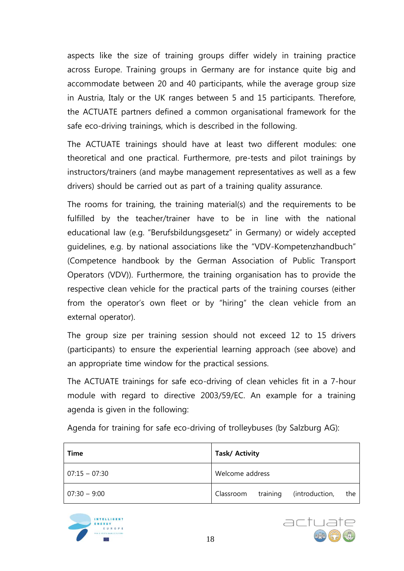aspects like the size of training groups differ widely in training practice across Europe. Training groups in Germany are for instance quite big and accommodate between 20 and 40 participants, while the average group size in Austria, Italy or the UK ranges between 5 and 15 participants. Therefore, the ACTUATE partners defined a common organisational framework for the safe eco-driving trainings, which is described in the following.

The ACTUATE trainings should have at least two different modules: one theoretical and one practical. Furthermore, pre-tests and pilot trainings by instructors/trainers (and maybe management representatives as well as a few drivers) should be carried out as part of a training quality assurance.

The rooms for training, the training material(s) and the requirements to be fulfilled by the teacher/trainer have to be in line with the national educational law (e.g. "Berufsbildungsgesetz" in Germany) or widely accepted guidelines, e.g. by national associations like the "VDV-Kompetenzhandbuch" (Competence handbook by the German Association of Public Transport Operators (VDV)). Furthermore, the training organisation has to provide the respective clean vehicle for the practical parts of the training courses (either from the operator's own fleet or by "hiring" the clean vehicle from an external operator).

The group size per training session should not exceed 12 to 15 drivers (participants) to ensure the experiential learning approach (see above) and an appropriate time window for the practical sessions.

The ACTUATE trainings for safe eco-driving of clean vehicles fit in a 7-hour module with regard to directive 2003/59/EC. An example for a training agenda is given in the following:

| Time            | <b>Task/Activity</b>                        |  |  |  |
|-----------------|---------------------------------------------|--|--|--|
| $07:15 - 07:30$ | Welcome address                             |  |  |  |
| $07:30 - 9:00$  | training (introduction,<br>Classroom<br>the |  |  |  |

Agenda for training for safe eco-driving of trolleybuses (by Salzburg AG):



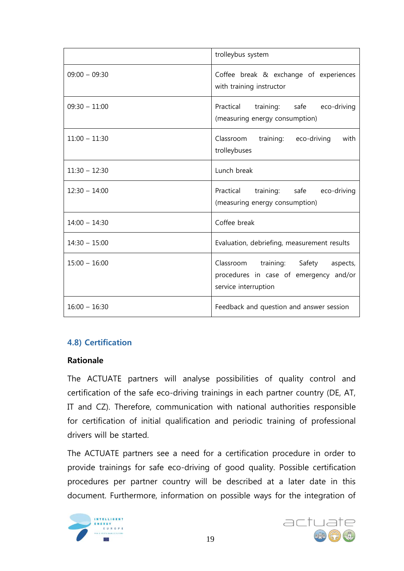|                 | trolleybus system                                                                                        |  |  |  |  |
|-----------------|----------------------------------------------------------------------------------------------------------|--|--|--|--|
| $09:00 - 09:30$ | Coffee break & exchange of experiences<br>with training instructor                                       |  |  |  |  |
| $09:30 - 11:00$ | Practical training: safe eco-driving<br>(measuring energy consumption)                                   |  |  |  |  |
| $11:00 - 11:30$ | Classroom training: eco-driving<br>with<br>trolleybuses                                                  |  |  |  |  |
| $11:30 - 12:30$ | Lunch break                                                                                              |  |  |  |  |
| $12:30 - 14:00$ | Practical training: safe<br>eco-driving<br>(measuring energy consumption)                                |  |  |  |  |
| $14:00 - 14:30$ | Coffee break                                                                                             |  |  |  |  |
| $14:30 - 15:00$ | Evaluation, debriefing, measurement results                                                              |  |  |  |  |
| $15:00 - 16:00$ | Classroom training: Safety<br>aspects,<br>procedures in case of emergency and/or<br>service interruption |  |  |  |  |
| $16:00 - 16:30$ | Feedback and question and answer session                                                                 |  |  |  |  |

## **4.8) Certification**

#### **Rationale**

The ACTUATE partners will analyse possibilities of quality control and certification of the safe eco-driving trainings in each partner country (DE, AT, IT and CZ). Therefore, communication with national authorities responsible for certification of initial qualification and periodic training of professional drivers will be started.

The ACTUATE partners see a need for a certification procedure in order to provide trainings for safe eco-driving of good quality. Possible certification procedures per partner country will be described at a later date in this document. Furthermore, information on possible ways for the integration of



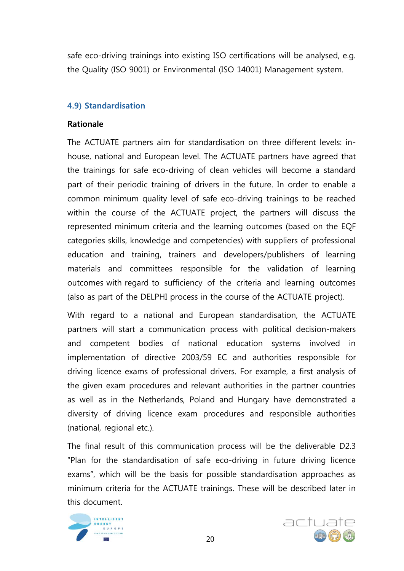safe eco-driving trainings into existing ISO certifications will be analysed, e.g. the Quality (ISO 9001) or Environmental (ISO 14001) Management system.

## **4.9) Standardisation**

### **Rationale**

The ACTUATE partners aim for standardisation on three different levels: inhouse, national and European level. The ACTUATE partners have agreed that the trainings for safe eco-driving of clean vehicles will become a standard part of their periodic training of drivers in the future. In order to enable a common minimum quality level of safe eco-driving trainings to be reached within the course of the ACTUATE project, the partners will discuss the represented minimum criteria and the learning outcomes (based on the EQF categories skills, knowledge and competencies) with suppliers of professional education and training, trainers and developers/publishers of learning materials and committees responsible for the validation of learning outcomes with regard to sufficiency of the criteria and learning outcomes (also as part of the DELPHI process in the course of the ACTUATE project).

With regard to a national and European standardisation, the ACTUATE partners will start a communication process with political decision-makers and competent bodies of national education systems involved in implementation of directive 2003/59 EC and authorities responsible for driving licence exams of professional drivers. For example, a first analysis of the given exam procedures and relevant authorities in the partner countries as well as in the Netherlands, Poland and Hungary have demonstrated a diversity of driving licence exam procedures and responsible authorities (national, regional etc.).

The final result of this communication process will be the deliverable D2.3 "Plan for the standardisation of safe eco-driving in future driving licence exams", which will be the basis for possible standardisation approaches as minimum criteria for the ACTUATE trainings. These will be described later in this document.



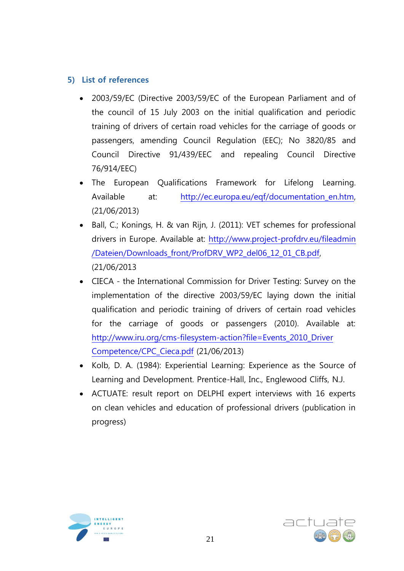## <span id="page-21-0"></span>**5) List of references**

- 2003/59/EC (Directive 2003/59/EC of the European Parliament and of the council of 15 July 2003 on the initial qualification and periodic training of drivers of certain road vehicles for the carriage of goods or passengers, amending Council Regulation (EEC); No 3820/85 and Council Directive 91/439/EEC and repealing Council Directive 76/914/EEC)
- The European Qualifications Framework for Lifelong Learning. Available at: [http://ec.europa.eu/eqf/documentation\\_en.htm,](http://ec.europa.eu/eqf/documentation_en.htm) (21/06/2013)
- Ball, C.; Konings, H. & van Rijn, J. (2011): VET schemes for professional drivers in Europe. Available at: [http://www.project-profdrv.eu/fileadmin](http://www.project-profdrv.eu/fileadmin%20/Dateien/Downloads_front/ProfDRV_WP2_del06_12_01_CB.pdf)  [/Dateien/Downloads\\_front/ProfDRV\\_WP2\\_del06\\_12\\_01\\_CB.pdf,](http://www.project-profdrv.eu/fileadmin%20/Dateien/Downloads_front/ProfDRV_WP2_del06_12_01_CB.pdf) (21/06/2013
- CIECA the International Commission for Driver Testing: Survey on the implementation of the directive 2003/59/EC laying down the initial qualification and periodic training of drivers of certain road vehicles for the carriage of goods or passengers (2010). Available at: [http://www.iru.org/cms-filesystem-action?file=Events\\_2010\\_Driver](http://www.iru.org/cms-filesystem-action?file=Events_2010_Driver%20Competence/CPC_Cieca.pdf)  [Competence/CPC\\_Cieca.pdf](http://www.iru.org/cms-filesystem-action?file=Events_2010_Driver%20Competence/CPC_Cieca.pdf) (21/06/2013)
- Kolb, D. A. (1984): Experiential Learning: Experience as the Source of Learning and Development. Prentice-Hall, Inc., Englewood Cliffs, N.J.
- ACTUATE: result report on DELPHI expert interviews with 16 experts on clean vehicles and education of professional drivers (publication in progress)



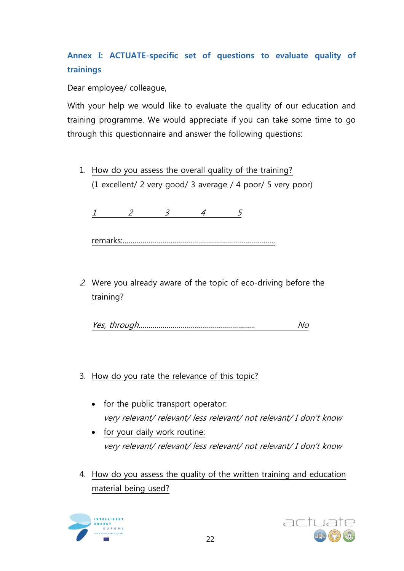# **Annex I: ACTUATE-specific set of questions to evaluate quality of trainings**

Dear employee/ colleague,

With your help we would like to evaluate the quality of our education and training programme. We would appreciate if you can take some time to go through this questionnaire and answer the following questions:

1. How do you assess the overall quality of the training? (1 excellent/ 2 very good/ 3 average / 4 poor/ 5 very poor)

1 2 3 4 5

remarks:………………………………………………………………….

2. Were you already aware of the topic of eco-driving before the training?

Yes, through…………………………………………………. No

- 3. How do you rate the relevance of this topic?
	- for the public transport operator: very relevant/ relevant/ less relevant/ not relevant/ I don't know
	- for your daily work routine: very relevant/ relevant/ less relevant/ not relevant/ I don't know
- 4. How do you assess the quality of the written training and education material being used?



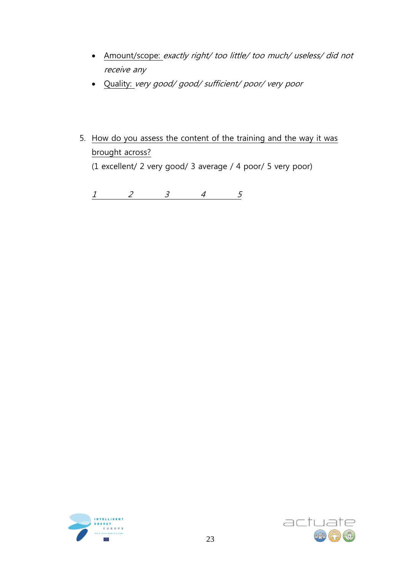- Amount/scope: exactly right/ too little/ too much/ useless/ did not receive any
- Quality: very good/ good/ sufficient/ poor/ very poor
- 5. How do you assess the content of the training and the way it was brought across? (1 excellent/ 2 very good/ 3 average / 4 poor/ 5 very poor)

1 2 3 4 5



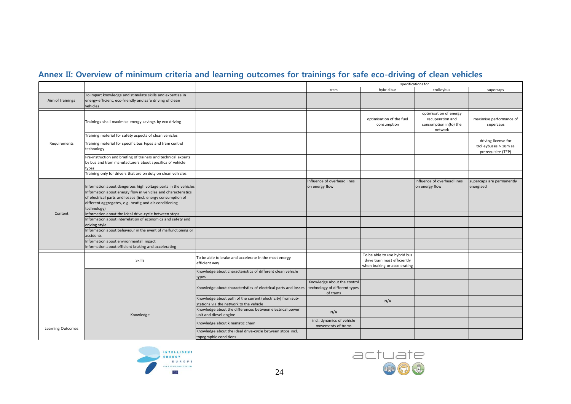## **Annex II: Overview of minimum criteria and learning outcomes for trainings for safe eco-driving of clean vehicles**

|                   |                                                                                                                                                                                                       |                                                                                                        | specifications for                                                       |                                                                                              |                                                                                 |                                                                    |
|-------------------|-------------------------------------------------------------------------------------------------------------------------------------------------------------------------------------------------------|--------------------------------------------------------------------------------------------------------|--------------------------------------------------------------------------|----------------------------------------------------------------------------------------------|---------------------------------------------------------------------------------|--------------------------------------------------------------------|
|                   |                                                                                                                                                                                                       |                                                                                                        | tram                                                                     | hybrid bus                                                                                   | trolleybus                                                                      | supercaps                                                          |
| Aim of trainings  | To impart knowledge and stimulate skills and expertise in<br>energy-efficient, eco-friendly and safe driving of clean<br>vehicles                                                                     |                                                                                                        |                                                                          |                                                                                              |                                                                                 |                                                                    |
|                   | Trainings shall maximise energy savings by eco driving                                                                                                                                                |                                                                                                        |                                                                          | optimisation of the fuel<br>consumption                                                      | optimisation of energy<br>recuperation and<br>consumption in(to) the<br>network | maximise performance of<br>supercaps                               |
|                   | Training material for safety aspects of clean vehicles                                                                                                                                                |                                                                                                        |                                                                          |                                                                                              |                                                                                 |                                                                    |
| Requirements      | Training material for specific bus types and tram control<br>technology                                                                                                                               |                                                                                                        |                                                                          |                                                                                              |                                                                                 | driving license for<br>trolleybuses > 18m as<br>prerequisite (TEP) |
|                   | Pre-instruction and briefing of trainers and technical experts<br>by bus and tram manufacturers about specifica of vehicle<br>types                                                                   |                                                                                                        |                                                                          |                                                                                              |                                                                                 |                                                                    |
|                   | Training only for drivers that are on duty on clean vehicles                                                                                                                                          |                                                                                                        |                                                                          |                                                                                              |                                                                                 |                                                                    |
|                   | Information about dangerous high voltage parts in the vehicles                                                                                                                                        |                                                                                                        | nfluence of overhead lines<br>on energy flow                             |                                                                                              | Influence of overhead lines<br>on energy flow                                   | supercaps are permanently<br>energised                             |
|                   | Information about energy flow in vehicles and characteristics<br>of electrical parts and losses (incl. energy consumption of<br>different aggregates, e.g. heatig and air-conditioning<br>technology) |                                                                                                        |                                                                          |                                                                                              |                                                                                 |                                                                    |
| Content           | Information about the ideal drive-cycle between stops                                                                                                                                                 |                                                                                                        |                                                                          |                                                                                              |                                                                                 |                                                                    |
|                   | Information about interrelation of economics and safety and<br>driving style                                                                                                                          |                                                                                                        |                                                                          |                                                                                              |                                                                                 |                                                                    |
|                   | Information about behaviour in the event of malfunctioning or<br>accidents                                                                                                                            |                                                                                                        |                                                                          |                                                                                              |                                                                                 |                                                                    |
|                   | Information about environmental impact                                                                                                                                                                |                                                                                                        |                                                                          |                                                                                              |                                                                                 |                                                                    |
|                   | nformation about efficient braking and accelerating                                                                                                                                                   |                                                                                                        |                                                                          |                                                                                              |                                                                                 |                                                                    |
|                   | Skills                                                                                                                                                                                                | To be able to brake and accelerate in the most energy<br>efficient way                                 |                                                                          | To be able to use hybrid bus<br>drive train most efficiently<br>when braking or accelerating |                                                                                 |                                                                    |
|                   |                                                                                                                                                                                                       | Knowledge about characteristics of different clean vehicle<br>types                                    |                                                                          |                                                                                              |                                                                                 |                                                                    |
|                   | Knowledge                                                                                                                                                                                             | Knowledge about characteristics of electrical parts and losses                                         | Knowledge about the control<br>technology of different types<br>of trams |                                                                                              |                                                                                 |                                                                    |
|                   |                                                                                                                                                                                                       | Knowledge about path of the current (electricity) from sub-<br>stations via the network to the vehicle |                                                                          | N/A                                                                                          |                                                                                 |                                                                    |
|                   |                                                                                                                                                                                                       | Knowledge about the differences between electrical power<br>unit and diesel engine                     | N/A                                                                      |                                                                                              |                                                                                 |                                                                    |
|                   |                                                                                                                                                                                                       | Knowledge about kinematic chain                                                                        | incl. dynamics of vehicle<br>movements of trams                          |                                                                                              |                                                                                 |                                                                    |
| Learning Outcomes |                                                                                                                                                                                                       | Knowledge about the ideal drive-cycle between stops incl.<br>topographic conditions                    |                                                                          |                                                                                              |                                                                                 |                                                                    |



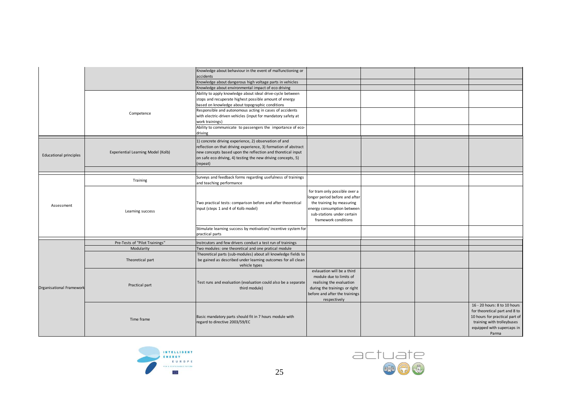|                          |                                    | Knowledge about behaviour in the event of malfunctioning or                                         |                                |  |                                |
|--------------------------|------------------------------------|-----------------------------------------------------------------------------------------------------|--------------------------------|--|--------------------------------|
|                          |                                    | accidents                                                                                           |                                |  |                                |
|                          |                                    | Knowledge about dangerous high voltage parts in vehicles                                            |                                |  |                                |
|                          |                                    | Knowledge about environmental impact of eco driving                                                 |                                |  |                                |
|                          |                                    | Ability to apply knowledge about ideal drive-cycle between                                          |                                |  |                                |
|                          |                                    | stops and recuperate highest possible amount of energy                                              |                                |  |                                |
|                          |                                    | based on knowledge about topographic conditions                                                     |                                |  |                                |
|                          |                                    | Responsible and autonomous acting in cases of accidents                                             |                                |  |                                |
|                          | Competence                         | with electric-driven vehicles (input for mandatory safety at                                        |                                |  |                                |
|                          |                                    | work trainings)                                                                                     |                                |  |                                |
|                          |                                    | Ability to communicate to passengers the importance of eco-                                         |                                |  |                                |
|                          |                                    | driving                                                                                             |                                |  |                                |
|                          |                                    | 1) concrete driving experience, 2) observation of and                                               |                                |  |                                |
|                          |                                    | reflection on that driving experience, 3) formation of abstract                                     |                                |  |                                |
|                          | Experiential Learning Model (Kolb) | new concepts based upon the reflection and thoretical input                                         |                                |  |                                |
| Educational principles   |                                    | on safe eco driving, 4) testing the new driving concepts, 5)                                        |                                |  |                                |
|                          |                                    |                                                                                                     |                                |  |                                |
|                          |                                    | (repeat)                                                                                            |                                |  |                                |
|                          |                                    |                                                                                                     |                                |  |                                |
|                          | Training                           | Surveys and feedback forms regarding usefulness of trainings                                        |                                |  |                                |
|                          |                                    | and teaching performance                                                                            |                                |  |                                |
|                          | Learning success                   |                                                                                                     | for tram only possible over a  |  |                                |
|                          |                                    |                                                                                                     | longer period before and after |  |                                |
|                          |                                    | Two practical tests: comparison before and after theoretical<br>input (steps 1 and 4 of Kolb model) | the training by measuring      |  |                                |
| Assessment               |                                    |                                                                                                     | energy consumption between     |  |                                |
|                          |                                    |                                                                                                     | sub-stations under certain     |  |                                |
|                          |                                    |                                                                                                     | framework conditions           |  |                                |
|                          |                                    |                                                                                                     |                                |  |                                |
|                          |                                    | Stimulate learning success by motivation/ incentive system for                                      |                                |  |                                |
|                          |                                    | practical parts                                                                                     |                                |  |                                |
|                          | Pre-Tests of "Pilot Trainings"     | Instrcutors and few drivers conduct a test run of trainings                                         |                                |  |                                |
|                          | Modularity                         | Two modules: one theoretical and one pratical module                                                |                                |  |                                |
|                          |                                    | Theoretical parts (sub-modules) about all knowledge fields to                                       |                                |  |                                |
|                          | Theoretical part                   | be gained as described under learning outcomes for all clean                                        |                                |  |                                |
|                          |                                    | vehicle types                                                                                       |                                |  |                                |
|                          |                                    |                                                                                                     | evlauation will be a third     |  |                                |
|                          |                                    |                                                                                                     | module due to limits of        |  |                                |
|                          | Practical part                     | Test runs and evaluation (evaluation could also be a separate                                       | realising the evaluation       |  |                                |
| Organisational Framework |                                    | third module)                                                                                       | during the trainings or right  |  |                                |
|                          |                                    |                                                                                                     | before and after the trainings |  |                                |
|                          |                                    |                                                                                                     | respectively                   |  |                                |
|                          |                                    |                                                                                                     |                                |  | 16 - 20 hours: 8 to 10 hours   |
|                          | Time frame                         |                                                                                                     |                                |  | for theoretical part and 8 to  |
|                          |                                    |                                                                                                     |                                |  | 10 hours for practical part of |
|                          |                                    | Basic mandatory parts should fit in 7 hours module with<br>regard to directive 2003/59/EC           |                                |  | training with trolleybuses     |
|                          |                                    |                                                                                                     |                                |  |                                |
|                          |                                    |                                                                                                     |                                |  | equipped with supercaps in     |
|                          |                                    |                                                                                                     |                                |  | Parma                          |